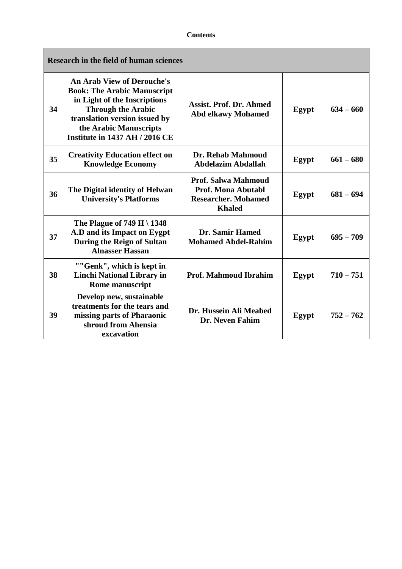| <b>Research in the field of human sciences</b> |                                                                                                                                                                                                                                          |                                                                                                        |       |             |
|------------------------------------------------|------------------------------------------------------------------------------------------------------------------------------------------------------------------------------------------------------------------------------------------|--------------------------------------------------------------------------------------------------------|-------|-------------|
| 34                                             | <b>An Arab View of Derouche's</b><br><b>Book: The Arabic Manuscript</b><br>in Light of the Inscriptions<br><b>Through the Arabic</b><br>translation version issued by<br>the Arabic Manuscripts<br><b>Institute in 1437 AH / 2016 CE</b> | <b>Assist. Prof. Dr. Ahmed</b><br><b>Abd elkawy Mohamed</b>                                            | Egypt | $634 - 660$ |
| 35                                             | <b>Creativity Education effect on</b><br><b>Knowledge Economy</b>                                                                                                                                                                        | Dr. Rehab Mahmoud<br><b>Abdelazim Abdallah</b>                                                         | Egypt | $661 - 680$ |
| 36                                             | The Digital identity of Helwan<br><b>University's Platforms</b>                                                                                                                                                                          | <b>Prof. Salwa Mahmoud</b><br><b>Prof. Mona Abutabl</b><br><b>Researcher. Mohamed</b><br><b>Khaled</b> | Egypt | $681 - 694$ |
| 37                                             | The Plague of 749 H \ $1348$<br>A.D and its Impact on Eygpt<br><b>During the Reign of Sultan</b><br><b>Alnasser Hassan</b>                                                                                                               | <b>Dr. Samir Hamed</b><br><b>Mohamed Abdel-Rahim</b>                                                   | Egypt | $695 - 709$ |
| 38                                             | ""Genk", which is kept in<br><b>Linchi National Library in</b><br><b>Rome manuscript</b>                                                                                                                                                 | <b>Prof. Mahmoud Ibrahim</b>                                                                           | Egypt | $710 - 751$ |
| 39                                             | Develop new, sustainable<br>treatments for the tears and<br>missing parts of Pharaonic<br>shroud from Ahensia<br>excavation                                                                                                              | Dr. Hussein Ali Meabed<br><b>Dr. Neven Fahim</b>                                                       | Egypt | $752 - 762$ |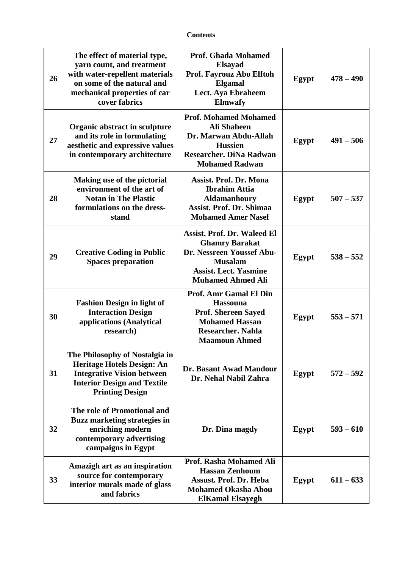| 26 | The effect of material type,<br>yarn count, and treatment<br>with water-repellent materials<br>on some of the natural and<br>mechanical properties of car<br>cover fabrics | <b>Prof. Ghada Mohamed</b><br><b>Elsayad</b><br>Prof. Fayrouz Abo Elftoh<br><b>Elgamal</b><br>Lect. Aya Ebraheem<br><b>Elmwafy</b>                                     | Egypt | $478 - 490$ |
|----|----------------------------------------------------------------------------------------------------------------------------------------------------------------------------|------------------------------------------------------------------------------------------------------------------------------------------------------------------------|-------|-------------|
| 27 | Organic abstract in sculpture<br>and its role in formulating<br>aesthetic and expressive values<br>in contemporary architecture                                            | <b>Prof. Mohamed Mohamed</b><br><b>Ali Shaheen</b><br>Dr. Marwan Abdu-Allah<br><b>Hussien</b><br><b>Researcher. DiNa Radwan</b><br><b>Mohamed Radwan</b>               | Egypt | $491 - 506$ |
| 28 | Making use of the pictorial<br>environment of the art of<br><b>Notan in The Plastic</b><br>formulations on the dress-<br>stand                                             | <b>Assist. Prof. Dr. Mona</b><br><b>Ibrahim Attia</b><br><b>Aldamanhoury</b><br><b>Assist. Prof. Dr. Shimaa</b><br><b>Mohamed Amer Nasef</b>                           | Egypt | $507 - 537$ |
| 29 | <b>Creative Coding in Public</b><br><b>Spaces preparation</b>                                                                                                              | <b>Assist. Prof. Dr. Waleed El</b><br><b>Ghamry Barakat</b><br>Dr. Nessreen Youssef Abu-<br><b>Musalam</b><br><b>Assist. Lect. Yasmine</b><br><b>Muhamed Ahmed Ali</b> | Egypt | $538 - 552$ |
| 30 | <b>Fashion Design in light of</b><br><b>Interaction Design</b><br>applications (Analytical<br>research)                                                                    | Prof. Amr Gamal El Din<br><b>Hassouna</b><br><b>Prof. Shereen Sayed</b><br><b>Mohamed Hassan</b><br><b>Researcher. Nahla</b><br><b>Maamoun Ahmed</b>                   | Egypt | $553 - 571$ |
| 31 | The Philosophy of Nostalgia in<br>Heritage Hotels Design: An<br><b>Integrative Vision between</b><br><b>Interior Design and Textile</b><br><b>Printing Design</b>          | Dr. Basant Awad Mandour<br>Dr. Nehal Nabil Zahra                                                                                                                       | Egypt | $572 - 592$ |
| 32 | The role of Promotional and<br><b>Buzz marketing strategies in</b><br>enriching modern<br>contemporary advertising<br>campaigns in Egypt                                   | Dr. Dina magdy                                                                                                                                                         | Egypt | $593 - 610$ |
| 33 | Amazigh art as an inspiration<br>source for contemporary<br>interior murals made of glass<br>and fabrics                                                                   | Prof. Rasha Mohamed Ali<br><b>Hassan Zenhoum</b><br><b>Assust. Prof. Dr. Heba</b><br><b>Mohamed Okasha Abou</b><br><b>ElKamal Elsayegh</b>                             | Egypt | $611 - 633$ |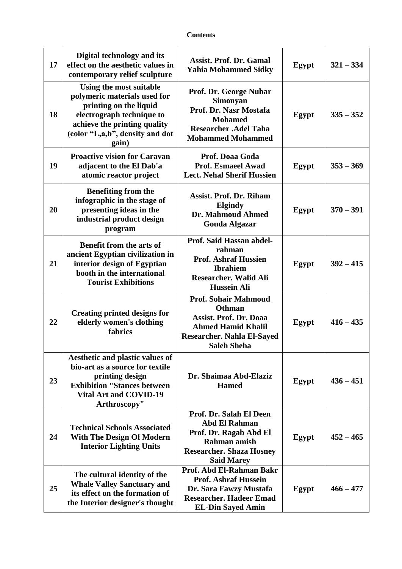| 17 | Digital technology and its<br>effect on the aesthetic values in<br>contemporary relief sculpture                                                                                           | <b>Assist. Prof. Dr. Gamal</b><br><b>Yahia Mohammed Sidky</b>                                                                                                  | Egypt | $321 - 334$ |
|----|--------------------------------------------------------------------------------------------------------------------------------------------------------------------------------------------|----------------------------------------------------------------------------------------------------------------------------------------------------------------|-------|-------------|
| 18 | Using the most suitable<br>polymeric materials used for<br>printing on the liquid<br>electrograph technique to<br>achieve the printing quality<br>(color "L,a,b", density and dot<br>gain) | Prof. Dr. George Nubar<br>Simonyan<br>Prof. Dr. Nasr Mostafa<br><b>Mohamed</b><br><b>Researcher .Adel Taha</b><br><b>Mohammed Mohammed</b>                     | Egypt | $335 - 352$ |
| 19 | <b>Proactive vision for Caravan</b><br>adjacent to the El Dab'a<br>atomic reactor project                                                                                                  | Prof. Doaa Goda<br><b>Prof. Esmaeel Awad</b><br><b>Lect. Nehal Sherif Hussien</b>                                                                              | Egypt | $353 - 369$ |
| 20 | <b>Benefiting from the</b><br>infographic in the stage of<br>presenting ideas in the<br>industrial product design<br>program                                                               | <b>Assist. Prof. Dr. Riham</b><br><b>Elgindy</b><br>Dr. Mahmoud Ahmed<br><b>Gouda Algazar</b>                                                                  | Egypt | $370 - 391$ |
| 21 | Benefit from the arts of<br>ancient Egyptian civilization in<br>interior design of Egyptian<br>booth in the international<br><b>Tourist Exhibitions</b>                                    | Prof. Said Hassan abdel-<br>rahman<br><b>Prof. Ashraf Hussien</b><br><b>Ibrahiem</b><br><b>Researcher. Walid Ali</b><br><b>Hussein Ali</b>                     | Egypt | $392 - 415$ |
| 22 | <b>Creating printed designs for</b><br>elderly women's clothing<br>fabrics                                                                                                                 | <b>Prof. Sohair Mahmoud</b><br><b>Othman</b><br>Assist. Prof. Dr. Doaa<br><b>Ahmed Hamid Khalil</b><br><b>Researcher. Nahla El-Sayed</b><br><b>Saleh Sheha</b> | Egypt | $416 - 435$ |
| 23 | Aesthetic and plastic values of<br>bio-art as a source for textile<br>printing design<br><b>Exhibition "Stances between</b><br><b>Vital Art and COVID-19</b><br>Arthroscopy"               | Dr. Shaimaa Abd-Elaziz<br><b>Hamed</b>                                                                                                                         | Egypt | $436 - 451$ |
| 24 | <b>Technical Schools Associated</b><br><b>With The Design Of Modern</b><br><b>Interior Lighting Units</b>                                                                                  | Prof. Dr. Salah El Deen<br><b>Abd El Rahman</b><br>Prof. Dr. Ragab Abd El<br>Rahman amish<br><b>Researcher. Shaza Hosney</b><br><b>Said Marey</b>              | Egypt | $452 - 465$ |
| 25 | The cultural identity of the<br><b>Whale Valley Sanctuary and</b><br>its effect on the formation of<br>the Interior designer's thought                                                     | Prof. Abd El-Rahman Bakr<br><b>Prof. Ashraf Hussein</b><br>Dr. Sara Fawzy Mustafa<br><b>Researcher. Hadeer Emad</b><br><b>EL-Din Sayed Amin</b>                | Egypt | $466 - 477$ |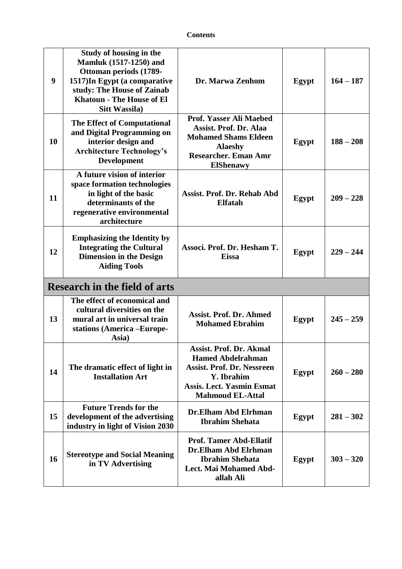| 9                                    | Study of housing in the<br><b>Mamluk (1517-1250) and</b><br>Ottoman periods (1789-<br>1517)In Egypt (a comparative<br>study: The House of Zainab<br><b>Khatoun - The House of El</b><br><b>Sitt Wassila</b> ) | Dr. Marwa Zenhom                                                                                                                                                             | <b>Egypt</b> | $164 - 187$ |  |
|--------------------------------------|---------------------------------------------------------------------------------------------------------------------------------------------------------------------------------------------------------------|------------------------------------------------------------------------------------------------------------------------------------------------------------------------------|--------------|-------------|--|
| 10                                   | The Effect of Computational<br>and Digital Programming on<br>interior design and<br><b>Architecture Technology's</b><br><b>Development</b>                                                                    | Prof. Yasser Ali Maebed<br><b>Assist. Prof. Dr. Alaa</b><br><b>Mohamed Shams Eldeen</b><br><b>Alaeshy</b><br><b>Researcher. Eman Amr</b><br><b>ElShenawy</b>                 | <b>Egypt</b> | $188 - 208$ |  |
| 11                                   | A future vision of interior<br>space formation technologies<br>in light of the basic<br>determinants of the<br>regenerative environmental<br>architecture                                                     | <b>Assist. Prof. Dr. Rehab Abd</b><br><b>Elfatah</b>                                                                                                                         | <b>Egypt</b> | $209 - 228$ |  |
| 12                                   | <b>Emphasizing the Identity by</b><br><b>Integrating the Cultural</b><br><b>Dimension in the Design</b><br><b>Aiding Tools</b>                                                                                | Associ. Prof. Dr. Hesham T.<br><b>Eissa</b>                                                                                                                                  | Egypt        | $229 - 244$ |  |
| <b>Research in the field of arts</b> |                                                                                                                                                                                                               |                                                                                                                                                                              |              |             |  |
| 13                                   | The effect of economical and<br>cultural diversities on the<br>mural art in universal train<br>stations (America -Europe-<br>Asia)                                                                            | <b>Assist. Prof. Dr. Ahmed</b><br><b>Mohamed Ebrahim</b>                                                                                                                     | Egypt        | $245 - 259$ |  |
| 14                                   | The dramatic effect of light in<br><b>Installation Art</b>                                                                                                                                                    | <b>Assist. Prof. Dr. Akmal</b><br><b>Hamed Abdelrahman</b><br><b>Assist. Prof. Dr. Nessreen</b><br>Y. Ibrahim<br><b>Assis. Lect. Yasmin Esmat</b><br><b>Mahmoud EL-Attal</b> | Egypt        | $260 - 280$ |  |
| 15                                   | <b>Future Trends for the</b><br>development of the advertising<br>industry in light of Vision 2030                                                                                                            | Dr.Elham Abd Elrhman<br><b>Ibrahim Shehata</b>                                                                                                                               | Egypt        | $281 - 302$ |  |
| 16                                   | <b>Stereotype and Social Meaning</b><br>in TV Advertising                                                                                                                                                     | <b>Prof. Tamer Abd-Ellatif</b><br>Dr.Elham Abd Elrhman<br><b>Ibrahim Shehata</b><br>Lect. Mai Mohamed Abd-                                                                   | Egypt        | $303 - 320$ |  |